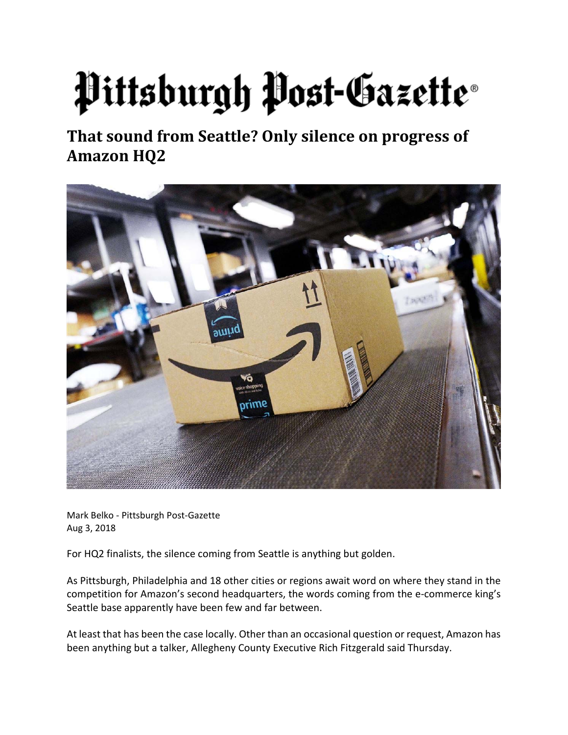## Pittsburgh Post-Gazette®

**That sound from Seattle? Only silence on progress of Amazon HQ2** 



Mark Belko ‐ Pittsburgh Post‐Gazette Aug 3, 2018

For HQ2 finalists, the silence coming from Seattle is anything but golden.

As Pittsburgh, Philadelphia and 18 other cities or regions await word on where they stand in the competition for Amazon's second headquarters, the words coming from the e‐commerce king's Seattle base apparently have been few and far between.

At least that has been the case locally. Other than an occasional question or request, Amazon has been anything but a talker, Allegheny County Executive Rich Fitzgerald said Thursday.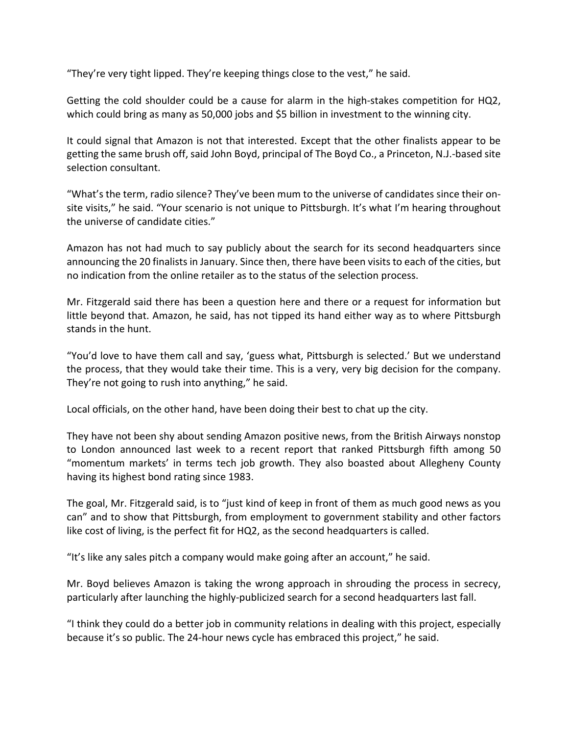"They're very tight lipped. They're keeping things close to the vest," he said.

Getting the cold shoulder could be a cause for alarm in the high-stakes competition for HQ2, which could bring as many as 50,000 jobs and \$5 billion in investment to the winning city.

It could signal that Amazon is not that interested. Except that the other finalists appear to be getting the same brush off, said John Boyd, principal of The Boyd Co., a Princeton, N.J.‐based site selection consultant.

"What's the term, radio silence? They've been mum to the universe of candidates since their on‐ site visits," he said. "Your scenario is not unique to Pittsburgh. It's what I'm hearing throughout the universe of candidate cities."

Amazon has not had much to say publicly about the search for its second headquarters since announcing the 20 finalists in January. Since then, there have been visitsto each of the cities, but no indication from the online retailer as to the status of the selection process.

Mr. Fitzgerald said there has been a question here and there or a request for information but little beyond that. Amazon, he said, has not tipped its hand either way as to where Pittsburgh stands in the hunt.

"You'd love to have them call and say, 'guess what, Pittsburgh is selected.' But we understand the process, that they would take their time. This is a very, very big decision for the company. They're not going to rush into anything," he said.

Local officials, on the other hand, have been doing their best to chat up the city.

They have not been shy about sending Amazon positive news, from the British Airways nonstop to London announced last week to a recent report that ranked Pittsburgh fifth among 50 "momentum markets' in terms tech job growth. They also boasted about Allegheny County having its highest bond rating since 1983.

The goal, Mr. Fitzgerald said, is to "just kind of keep in front of them as much good news as you can" and to show that Pittsburgh, from employment to government stability and other factors like cost of living, is the perfect fit for HQ2, as the second headquarters is called.

"It's like any sales pitch a company would make going after an account," he said.

Mr. Boyd believes Amazon is taking the wrong approach in shrouding the process in secrecy, particularly after launching the highly-publicized search for a second headquarters last fall.

"I think they could do a better job in community relations in dealing with this project, especially because it's so public. The 24‐hour news cycle has embraced this project," he said.